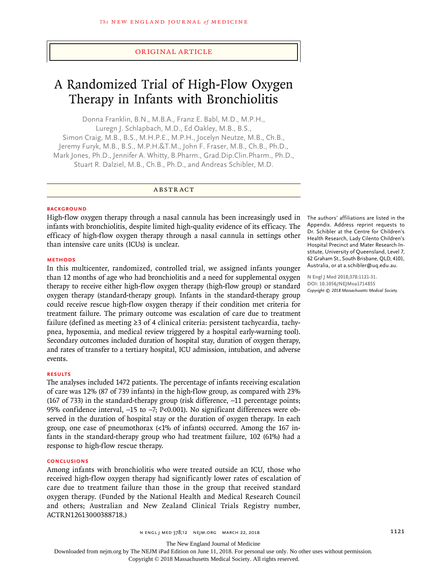## Original Article

# A Randomized Trial of High-Flow Oxygen Therapy in Infants with Bronchiolitis

Donna Franklin, B.N., M.B.A., Franz E. Babl, M.D., M.P.H., Luregn J. Schlapbach, M.D., Ed Oakley, M.B., B.S., Simon Craig, M.B., B.S., M.H.P.E., M.P.H., Jocelyn Neutze, M.B., Ch.B., Jeremy Furyk, M.B., B.S., M.P.H.&T.M., John F. Fraser, M.B., Ch.B., Ph.D., Mark Jones, Ph.D., Jennifer A. Whitty, B.Pharm., Grad.Dip.Clin.Pharm., Ph.D., Stuart R. Dalziel, M.B., Ch.B., Ph.D., and Andreas Schibler, M.D.

## ABSTRACT

#### **BACKGROUND**

High-flow oxygen therapy through a nasal cannula has been increasingly used in infants with bronchiolitis, despite limited high-quality evidence of its efficacy. The efficacy of high-flow oxygen therapy through a nasal cannula in settings other than intensive care units (ICUs) is unclear.

#### **METHODS**

In this multicenter, randomized, controlled trial, we assigned infants younger than 12 months of age who had bronchiolitis and a need for supplemental oxygen therapy to receive either high-flow oxygen therapy (high-flow group) or standard oxygen therapy (standard-therapy group). Infants in the standard-therapy group could receive rescue high-flow oxygen therapy if their condition met criteria for treatment failure. The primary outcome was escalation of care due to treatment failure (defined as meeting ≥3 of 4 clinical criteria: persistent tachycardia, tachypnea, hypoxemia, and medical review triggered by a hospital early-warning tool). Secondary outcomes included duration of hospital stay, duration of oxygen therapy, and rates of transfer to a tertiary hospital, ICU admission, intubation, and adverse events.

## **RESULTS**

The analyses included 1472 patients. The percentage of infants receiving escalation of care was 12% (87 of 739 infants) in the high-flow group, as compared with 23% (167 of 733) in the standard-therapy group (risk difference, −11 percentage points; 95% confidence interval, −15 to −7; P<0.001). No significant differences were observed in the duration of hospital stay or the duration of oxygen therapy. In each group, one case of pneumothorax (<1% of infants) occurred. Among the 167 infants in the standard-therapy group who had treatment failure, 102 (61%) had a response to high-flow rescue therapy.

#### **CONCLUSIONS**

Among infants with bronchiolitis who were treated outside an ICU, those who received high-flow oxygen therapy had significantly lower rates of escalation of care due to treatment failure than those in the group that received standard oxygen therapy. (Funded by the National Health and Medical Research Council and others; Australian and New Zealand Clinical Trials Registry number, ACTRN12613000388718.)

The authors' affiliations are listed in the Appendix. Address reprint requests to Dr. Schibler at the Centre for Children's Health Research, Lady Cilento Children's Hospital Precinct and Mater Research Institute, University of Queensland, Level 7, 62 Graham St., South Brisbane, QLD, 4101, Australia, or at a.schibler@uq.edu.au.

**N Engl J Med 2018;378:1121-31. DOI: 10.1056/NEJMoa1714855** *Copyright © 2018 Massachusetts Medical Society.*

The New England Journal of Medicine

Downloaded from nejm.org by The NEJM iPad Edition on June 11, 2018. For personal use only. No other uses without permission.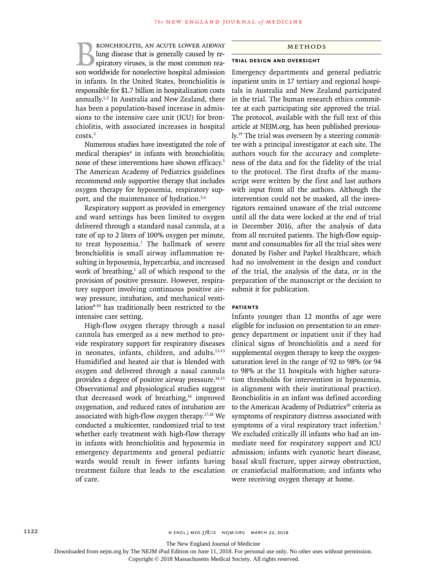**BRONCHIOLITIS, AN ACUTE LOWER AIRWAY**<br>lung disease that is generally caused by respiratory viruses, is the most common reason worldwide for nonelective hospital admission lung disease that is generally caused by respiratory viruses, is the most common reason worldwide for nonelective hospital admission in infants. In the United States, bronchiolitis is responsible for \$1.7 billion in hospitalization costs annually.1,2 In Australia and New Zealand, there has been a population-based increase in admissions to the intensive care unit (ICU) for bronchiolitis, with associated increases in hospital costs.3

Numerous studies have investigated the role of medical therapies<sup>4</sup> in infants with bronchiolitis; none of these interventions have shown efficacy.5 The American Academy of Pediatrics guidelines recommend only supportive therapy that includes oxygen therapy for hypoxemia, respiratory support, and the maintenance of hydration.5,6

Respiratory support as provided in emergency and ward settings has been limited to oxygen delivered through a standard nasal cannula, at a rate of up to 2 liters of 100% oxygen per minute, to treat hypoxemia.7 The hallmark of severe bronchiolitis is small airway inflammation resulting in hypoxemia, hypercarbia, and increased work of breathing,<sup>1</sup> all of which respond to the provision of positive pressure. However, respiratory support involving continuous positive airway pressure, intubation, and mechanical ventilation<sup>8-10</sup> has traditionally been restricted to the intensive care setting.

High-flow oxygen therapy through a nasal cannula has emerged as a new method to provide respiratory support for respiratory diseases in neonates, infants, children, and adults.<sup>11-13</sup> Humidified and heated air that is blended with oxygen and delivered through a nasal cannula provides a degree of positive airway pressure.14,15 Observational and physiological studies suggest that decreased work of breathing,<sup>16</sup> improved oxygenation, and reduced rates of intubation are associated with high-flow oxygen therapy.17,18 We conducted a multicenter, randomized trial to test whether early treatment with high-flow therapy in infants with bronchiolitis and hypoxemia in emergency departments and general pediatric wards would result in fewer infants having treatment failure that leads to the escalation of care.

#### Methods

#### **Trial Design and Oversight**

Emergency departments and general pediatric inpatient units in 17 tertiary and regional hospitals in Australia and New Zealand participated in the trial. The human research ethics committee at each participating site approved the trial. The protocol, available with the full text of this article at NEJM.org, has been published previously.19 The trial was overseen by a steering committee with a principal investigator at each site. The authors vouch for the accuracy and completeness of the data and for the fidelity of the trial to the protocol. The first drafts of the manuscript were written by the first and last authors with input from all the authors. Although the intervention could not be masked, all the investigators remained unaware of the trial outcome until all the data were locked at the end of trial in December 2016, after the analysis of data from all recruited patients. The high-flow equipment and consumables for all the trial sites were donated by Fisher and Paykel Healthcare, which had no involvement in the design and conduct of the trial, the analysis of the data, or in the preparation of the manuscript or the decision to submit it for publication.

#### **Patients**

Infants younger than 12 months of age were eligible for inclusion on presentation to an emergency department or inpatient unit if they had clinical signs of bronchiolitis and a need for supplemental oxygen therapy to keep the oxygensaturation level in the range of 92 to 98% (or 94 to 98% at the 11 hospitals with higher saturation thresholds for intervention in hypoxemia, in alignment with their institutional practice). Bronchiolitis in an infant was defined according to the American Academy of Pediatrics<sup>20</sup> criteria as symptoms of respiratory distress associated with symptoms of a viral respiratory tract infection.<sup>5</sup> We excluded critically ill infants who had an immediate need for respiratory support and ICU admission; infants with cyanotic heart disease, basal skull fracture, upper airway obstruction, or craniofacial malformation; and infants who were receiving oxygen therapy at home.

The New England Journal of Medicine

Downloaded from nejm.org by The NEJM iPad Edition on June 11, 2018. For personal use only. No other uses without permission.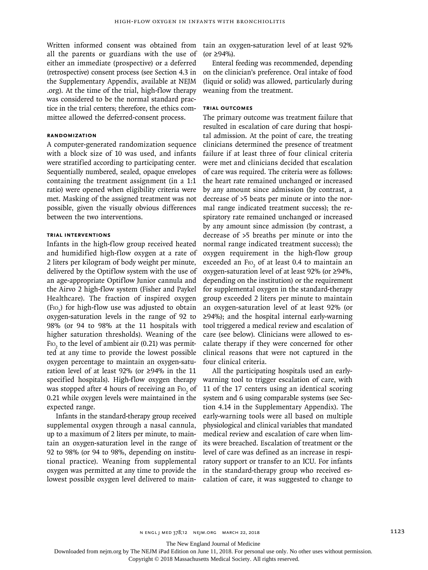all the parents or guardians with the use of either an immediate (prospective) or a deferred (retrospective) consent process (see Section 4.3 in the Supplementary Appendix, available at NEJM .org). At the time of the trial, high-flow therapy was considered to be the normal standard practice in the trial centers; therefore, the ethics committee allowed the deferred-consent process.

## **Randomization**

A computer-generated randomization sequence with a block size of 10 was used, and infants were stratified according to participating center. Sequentially numbered, sealed, opaque envelopes containing the treatment assignment (in a 1:1 ratio) were opened when eligibility criteria were met. Masking of the assigned treatment was not possible, given the visually obvious differences between the two interventions.

## **Trial Interventions**

Infants in the high-flow group received heated and humidified high-flow oxygen at a rate of 2 liters per kilogram of body weight per minute, delivered by the Optiflow system with the use of an age-appropriate Optiflow Junior cannula and the Airvo 2 high-flow system (Fisher and Paykel Healthcare). The fraction of inspired oxygen  $(FIO<sub>2</sub>)$  for high-flow use was adjusted to obtain oxygen-saturation levels in the range of 92 to 98% (or 94 to 98% at the 11 hospitals with higher saturation thresholds). Weaning of the F<sub>IO<sub>2</sub></sub> to the level of ambient air (0.21) was permitted at any time to provide the lowest possible oxygen percentage to maintain an oxygen-saturation level of at least 92% (or ≥94% in the 11 specified hospitals). High-flow oxygen therapy was stopped after 4 hours of receiving an F10, of 0.21 while oxygen levels were maintained in the expected range.

Infants in the standard-therapy group received supplemental oxygen through a nasal cannula, up to a maximum of 2 liters per minute, to maintain an oxygen-saturation level in the range of 92 to 98% (or 94 to 98%, depending on institutional practice). Weaning from supplemental oxygen was permitted at any time to provide the lowest possible oxygen level delivered to main-

Written informed consent was obtained from tain an oxygen-saturation level of at least 92%  $(or ≥ 94%).$ 

> Enteral feeding was recommended, depending on the clinician's preference. Oral intake of food (liquid or solid) was allowed, particularly during weaning from the treatment.

## **Trial Outcomes**

The primary outcome was treatment failure that resulted in escalation of care during that hospital admission. At the point of care, the treating clinicians determined the presence of treatment failure if at least three of four clinical criteria were met and clinicians decided that escalation of care was required. The criteria were as follows: the heart rate remained unchanged or increased by any amount since admission (by contrast, a decrease of >5 beats per minute or into the normal range indicated treatment success); the respiratory rate remained unchanged or increased by any amount since admission (by contrast, a decrease of >5 breaths per minute or into the normal range indicated treatment success); the oxygen requirement in the high-flow group exceeded an  $Fio_2$  of at least 0.4 to maintain an oxygen-saturation level of at least 92% (or ≥94%, depending on the institution) or the requirement for supplemental oxygen in the standard-therapy group exceeded 2 liters per minute to maintain an oxygen-saturation level of at least 92% (or ≥94%); and the hospital internal early-warning tool triggered a medical review and escalation of care (see below). Clinicians were allowed to escalate therapy if they were concerned for other clinical reasons that were not captured in the four clinical criteria.

All the participating hospitals used an earlywarning tool to trigger escalation of care, with 11 of the 17 centers using an identical scoring system and 6 using comparable systems (see Section 4.14 in the Supplementary Appendix). The early-warning tools were all based on multiple physiological and clinical variables that mandated medical review and escalation of care when limits were breached. Escalation of treatment or the level of care was defined as an increase in respiratory support or transfer to an ICU. For infants in the standard-therapy group who received escalation of care, it was suggested to change to

The New England Journal of Medicine

Downloaded from nejm.org by The NEJM iPad Edition on June 11, 2018. For personal use only. No other uses without permission.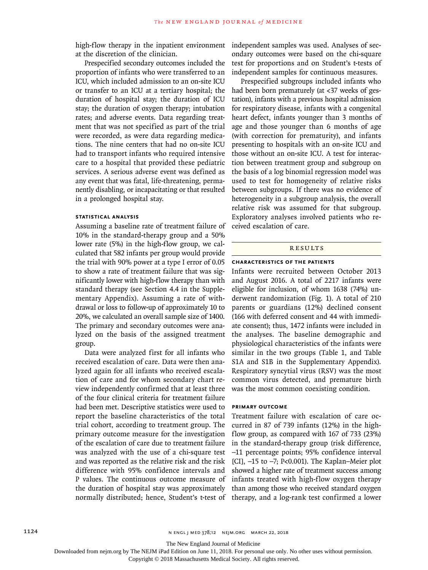high-flow therapy in the inpatient environment at the discretion of the clinician.

Prespecified secondary outcomes included the proportion of infants who were transferred to an ICU, which included admission to an on-site ICU or transfer to an ICU at a tertiary hospital; the duration of hospital stay; the duration of ICU stay; the duration of oxygen therapy; intubation rates; and adverse events. Data regarding treatment that was not specified as part of the trial were recorded, as were data regarding medications. The nine centers that had no on-site ICU had to transport infants who required intensive care to a hospital that provided these pediatric services. A serious adverse event was defined as any event that was fatal, life-threatening, permanently disabling, or incapacitating or that resulted in a prolonged hospital stay.

## **Statistical Analysis**

Assuming a baseline rate of treatment failure of 10% in the standard-therapy group and a 50% lower rate (5%) in the high-flow group, we calculated that 582 infants per group would provide the trial with 90% power at a type I error of 0.05 to show a rate of treatment failure that was significantly lower with high-flow therapy than with standard therapy (see Section 4.4 in the Supplementary Appendix). Assuming a rate of withdrawal or loss to follow-up of approximately 10 to 20%, we calculated an overall sample size of 1400. The primary and secondary outcomes were analyzed on the basis of the assigned treatment group.

Data were analyzed first for all infants who received escalation of care. Data were then analyzed again for all infants who received escalation of care and for whom secondary chart review independently confirmed that at least three of the four clinical criteria for treatment failure had been met. Descriptive statistics were used to report the baseline characteristics of the total trial cohort, according to treatment group. The primary outcome measure for the investigation of the escalation of care due to treatment failure was analyzed with the use of a chi-square test and was reported as the relative risk and the risk difference with 95% confidence intervals and P values. The continuous outcome measure of the duration of hospital stay was approximately

independent samples was used. Analyses of secondary outcomes were based on the chi-square test for proportions and on Student's t-tests of independent samples for continuous measures.

Prespecified subgroups included infants who had been born prematurely (at <37 weeks of gestation), infants with a previous hospital admission for respiratory disease, infants with a congenital heart defect, infants younger than 3 months of age and those younger than 6 months of age (with correction for prematurity), and infants presenting to hospitals with an on-site ICU and those without an on-site ICU. A test for interaction between treatment group and subgroup on the basis of a log binomial regression model was used to test for homogeneity of relative risks between subgroups. If there was no evidence of heterogeneity in a subgroup analysis, the overall relative risk was assumed for that subgroup. Exploratory analyses involved patients who received escalation of care.

#### Results

### **Characteristics of the Patients**

Infants were recruited between October 2013 and August 2016. A total of 2217 infants were eligible for inclusion, of whom 1638 (74%) underwent randomization (Fig. 1). A total of 210 parents or guardians (12%) declined consent (166 with deferred consent and 44 with immediate consent); thus, 1472 infants were included in the analyses. The baseline demographic and physiological characteristics of the infants were similar in the two groups (Table 1, and Table S1A and S1B in the Supplementary Appendix). Respiratory syncytial virus (RSV) was the most common virus detected, and premature birth was the most common coexisting condition.

#### **Primary Outcome**

normally distributed; hence, Student's t-test of therapy, and a log-rank test confirmed a lower Treatment failure with escalation of care occurred in 87 of 739 infants (12%) in the highflow group, as compared with 167 of 733 (23%) in the standard-therapy group (risk difference, −11 percentage points; 95% confidence interval [CI], −15 to −7; P<0.001). The Kaplan–Meier plot showed a higher rate of treatment success among infants treated with high-flow oxygen therapy than among those who received standard oxygen

The New England Journal of Medicine

Downloaded from nejm.org by The NEJM iPad Edition on June 11, 2018. For personal use only. No other uses without permission.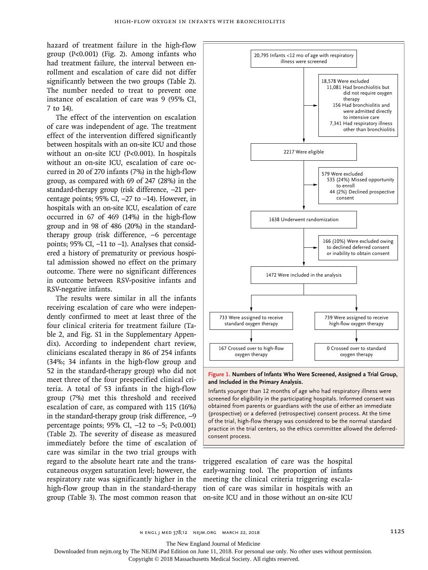hazard of treatment failure in the high-flow group  $(P<0.001)$  (Fig. 2). Among infants who had treatment failure, the interval between enrollment and escalation of care did not differ significantly between the two groups (Table 2). The number needed to treat to prevent one instance of escalation of care was 9 (95% CI, 7 to 14).

The effect of the intervention on escalation of care was independent of age. The treatment effect of the intervention differed significantly between hospitals with an on-site ICU and those without an on-site ICU (P<0.001). In hospitals without an on-site ICU, escalation of care occurred in 20 of 270 infants (7%) in the high-flow group, as compared with 69 of 247 (28%) in the standard-therapy group (risk difference, −21 percentage points; 95% CI, −27 to −14). However, in hospitals with an on-site ICU, escalation of care occurred in 67 of 469 (14%) in the high-flow group and in 98 of 486 (20%) in the standardtherapy group (risk difference, −6 percentage points; 95% CI, -11 to -1). Analyses that considered a history of prematurity or previous hospital admission showed no effect on the primary outcome. There were no significant differences in outcome between RSV-positive infants and RSV-negative infants.

The results were similar in all the infants receiving escalation of care who were independently confirmed to meet at least three of the four clinical criteria for treatment failure (Table 2, and Fig. S1 in the Supplementary Appendix). According to independent chart review, clinicians escalated therapy in 86 of 254 infants (34%; 34 infants in the high-flow group and 52 in the standard-therapy group) who did not meet three of the four prespecified clinical criteria. A total of 53 infants in the high-flow group (7%) met this threshold and received escalation of care, as compared with 115 (16%) in the standard-therapy group (risk difference, −9 percentage points; 95% CI, −12 to −5; P<0.001) (Table 2). The severity of disease as measured immediately before the time of escalation of care was similar in the two trial groups with regard to the absolute heart rate and the transcutaneous oxygen saturation level; however, the respiratory rate was significantly higher in the high-flow group than in the standard-therapy



**Figure 1. Numbers of Infants Who Were Screened, Assigned a Trial Group, and Included in the Primary Analysis.**

Infants younger than 12 months of age who had respiratory illness were screened for eligibility in the participating hospitals. Informed consent was obtained from parents or guardians with the use of either an immediate (prospective) or a deferred (retrospective) consent process. At the time of the trial, high-flow therapy was considered to be the normal standard practice in the trial centers, so the ethics committee allowed the deferredconsent process.

group (Table 3). The most common reason that on-site ICU and in those without an on-site ICU triggered escalation of care was the hospital early-warning tool. The proportion of infants meeting the clinical criteria triggering escalation of care was similar in hospitals with an

The New England Journal of Medicine

Downloaded from nejm.org by The NEJM iPad Edition on June 11, 2018. For personal use only. No other uses without permission.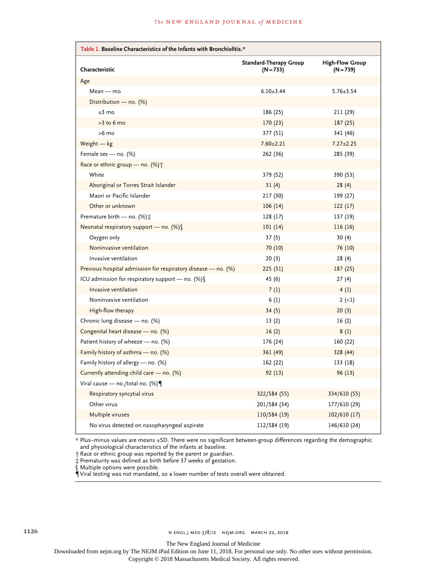| Table 1. Baseline Characteristics of the Infants with Bronchiolitis.* |                                       |                                       |  |  |  |
|-----------------------------------------------------------------------|---------------------------------------|---------------------------------------|--|--|--|
| Characteristic                                                        | Standard-Therapy Group<br>$(N = 733)$ | <b>High-Flow Group</b><br>$(N = 739)$ |  |  |  |
| Age                                                                   |                                       |                                       |  |  |  |
| $Mean - mo$                                                           | $6.10 \pm 3.44$                       | $5.76 \pm 3.54$                       |  |  |  |
| Distribution - no. $(\%)$                                             |                                       |                                       |  |  |  |
| ≤3 mo                                                                 | 186 (25)                              | 211 (29)                              |  |  |  |
| $>3$ to 6 mo                                                          | 170(23)                               | 187(25)                               |  |  |  |
| $>6$ mo                                                               | 377 (51)                              | 341 (46)                              |  |  |  |
| Weight $-$ kg                                                         | $7.60 \pm 2.21$                       | $7.27 \pm 2.25$                       |  |  |  |
| Female sex — no. $(\%)$                                               | 262 (36)                              | 285 (39)                              |  |  |  |
| Race or ethnic group - no. (%) +                                      |                                       |                                       |  |  |  |
| White                                                                 | 379 (52)                              | 390 (53)                              |  |  |  |
| Aboriginal or Torres Strait Islander                                  | 31(4)                                 | 28(4)                                 |  |  |  |
| Maori or Pacific Islander                                             | 217 (30)                              | 199 (27)                              |  |  |  |
| Other or unknown                                                      | 106(14)                               | 122(17)                               |  |  |  |
| Premature birth — no. $(\%)$ :                                        | 128 (17)                              | 137 (19)                              |  |  |  |
| Neonatal respiratory support - no. $(\%)$                             | 101(14)                               | 116(16)                               |  |  |  |
| Oxygen only                                                           | 37(5)                                 | 30(4)                                 |  |  |  |
| Noninvasive ventilation                                               | 70 (10)                               | 76 (10)                               |  |  |  |
| Invasive ventilation                                                  | 20(3)                                 | 28 (4)                                |  |  |  |
| Previous hospital admission for respiratory disease - no. (%)         | 225(31)                               | 187(25)                               |  |  |  |
| ICU admission for respiratory support — no. $(\%)$                    | 45 (6)                                | 27(4)                                 |  |  |  |
| Invasive ventilation                                                  | 7(1)                                  | 4(1)                                  |  |  |  |
| Noninvasive ventilation                                               | 6(1)                                  | $2(-1)$                               |  |  |  |
| High-flow therapy                                                     | 34(5)                                 | 20(3)                                 |  |  |  |
| Chronic lung disease - no. (%)                                        | 13(2)                                 | 16(2)                                 |  |  |  |
| Congenital heart disease - no. (%)                                    | 16(2)                                 | 8(1)                                  |  |  |  |
| Patient history of wheeze - no. (%)                                   | 176 (24)                              | 160 (22)                              |  |  |  |
| Family history of asthma - no. (%)                                    | 361 (49)                              | 328 (44)                              |  |  |  |
| Family history of allergy - no. (%)                                   | 162 (22)                              | 133 (18)                              |  |  |  |
| Currently attending child care $-$ no. (%)                            | 92(13)                                | 96(13)                                |  |  |  |
| Viral cause — no./total no. (%) $\P$                                  |                                       |                                       |  |  |  |
| Respiratory syncytial virus                                           | 322/584 (55)                          | 334/610 (55)                          |  |  |  |
| Other virus                                                           | 201/584 (34)                          | 177/610 (29)                          |  |  |  |
| Multiple viruses                                                      | 110/584 (19)                          | 102/610(17)                           |  |  |  |
| No virus detected on nasopharyngeal aspirate                          | 112/584 (19)                          | 146/610 (24)                          |  |  |  |

\* Plus–minus values are means ±SD. There were no significant between-group differences regarding the demographic and physiological characteristics of the infants at baseline.

† Race or ethnic group was reported by the parent or guardian.

‡ Prematurity was defined as birth before 37 weeks of gestation.

§ Multiple options were possible.

¶ Viral testing was not mandated, so a lower number of tests overall were obtained.

The New England Journal of Medicine

Downloaded from nejm.org by The NEJM iPad Edition on June 11, 2018. For personal use only. No other uses without permission.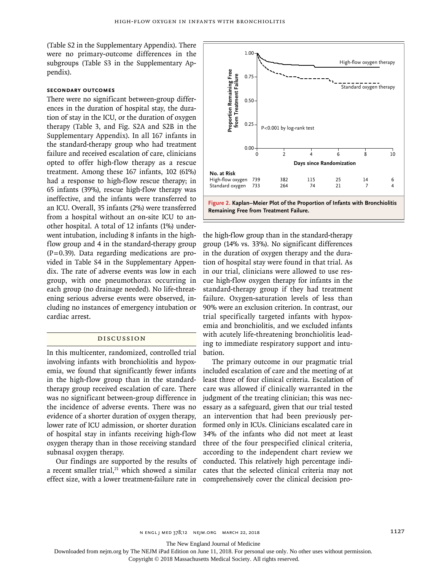(Table S2 in the Supplementary Appendix). There were no primary-outcome differences in the subgroups (Table S3 in the Supplementary Appendix).

## **Secondary Outcomes**

There were no significant between-group differences in the duration of hospital stay, the duration of stay in the ICU, or the duration of oxygen therapy (Table 3, and Fig. S2A and S2B in the Supplementary Appendix). In all 167 infants in the standard-therapy group who had treatment failure and received escalation of care, clinicians opted to offer high-flow therapy as a rescue treatment. Among these 167 infants, 102 (61%) had a response to high-flow rescue therapy; in 65 infants (39%), rescue high-flow therapy was ineffective, and the infants were transferred to an ICU. Overall, 35 infants (2%) were transferred from a hospital without an on-site ICU to another hospital. A total of 12 infants (1%) underwent intubation, including 8 infants in the highflow group and 4 in the standard-therapy group  $(P=0.39)$ . Data regarding medications are provided in Table S4 in the Supplementary Appendix. The rate of adverse events was low in each group, with one pneumothorax occurring in each group (no drainage needed). No life-threatening serious adverse events were observed, including no instances of emergency intubation or cardiac arrest.

## Discussion

In this multicenter, randomized, controlled trial involving infants with bronchiolitis and hypoxemia, we found that significantly fewer infants in the high-flow group than in the standardtherapy group received escalation of care. There was no significant between-group difference in the incidence of adverse events. There was no evidence of a shorter duration of oxygen therapy, lower rate of ICU admission, or shorter duration of hospital stay in infants receiving high-flow oxygen therapy than in those receiving standard subnasal oxygen therapy.

Our findings are supported by the results of a recent smaller trial, $21$  which showed a similar effect size, with a lower treatment-failure rate in



**Figure 2. Kaplan–Meier Plot of the Proportion of Infants with Bronchiolitis** 

the high-flow group than in the standard-therapy group (14% vs. 33%). No significant differences in the duration of oxygen therapy and the duration of hospital stay were found in that trial. As in our trial, clinicians were allowed to use rescue high-flow oxygen therapy for infants in the standard-therapy group if they had treatment failure. Oxygen-saturation levels of less than 90% were an exclusion criterion. In contrast, our trial specifically targeted infants with hypoxemia and bronchiolitis, and we excluded infants with acutely life-threatening bronchiolitis leading to immediate respiratory support and intubation.

The primary outcome in our pragmatic trial included escalation of care and the meeting of at least three of four clinical criteria. Escalation of care was allowed if clinically warranted in the judgment of the treating clinician; this was necessary as a safeguard, given that our trial tested an intervention that had been previously performed only in ICUs. Clinicians escalated care in 34% of the infants who did not meet at least three of the four prespecified clinical criteria, according to the independent chart review we conducted. This relatively high percentage indicates that the selected clinical criteria may not comprehensively cover the clinical decision pro-

The New England Journal of Medicine

Downloaded from nejm.org by The NEJM iPad Edition on June 11, 2018. For personal use only. No other uses without permission.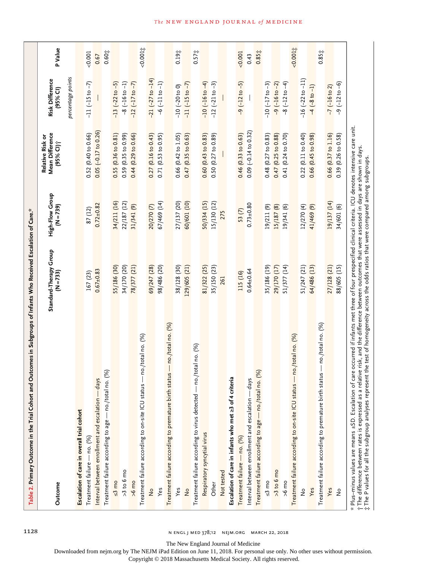| Table 2. Primary Outcome in the Trial Cohort and Outcomes in Subgroups of Infants Who Received Escalation of Care."                                                                                                                                                                                                                                                                                                                                            |                                       |                                |                                                 |                             |                |
|----------------------------------------------------------------------------------------------------------------------------------------------------------------------------------------------------------------------------------------------------------------------------------------------------------------------------------------------------------------------------------------------------------------------------------------------------------------|---------------------------------------|--------------------------------|-------------------------------------------------|-----------------------------|----------------|
| Outcome                                                                                                                                                                                                                                                                                                                                                                                                                                                        | Standard-Therapy Group<br>$(N = 733)$ | High-Flow Group<br>$(N = 739)$ | Mean Difference<br>Relative Risk or<br>(95% CI) | Risk Difference<br>(95% CI) | <b>P</b> Value |
|                                                                                                                                                                                                                                                                                                                                                                                                                                                                |                                       |                                |                                                 | percentage points           |                |
| Escalation of care in overall trial cohort                                                                                                                                                                                                                                                                                                                                                                                                                     |                                       |                                |                                                 |                             |                |
| Treatment failure - no. (%)                                                                                                                                                                                                                                                                                                                                                                                                                                    | 167 (23)                              | 87 (12)                        | 0.52(0.40 to 0.66)                              | $-11(-15$ to $-7)$          | 0.001          |
| Interval between enrollment and escalation - days                                                                                                                                                                                                                                                                                                                                                                                                              | $0.67 + 0.83$                         | $0.72 \pm 0.82$                | $0.05 (-0.17 to 0.26)$                          |                             | 0.67           |
| (%)<br>- no./total no.<br>Treatment failure according to age-                                                                                                                                                                                                                                                                                                                                                                                                  |                                       |                                |                                                 |                             | $0.60^{+1}$    |
| $\leq$ 3 mo                                                                                                                                                                                                                                                                                                                                                                                                                                                    | 55/186 (30)                           | 34/211 (16)                    | 0.55(0.36 to 0.81)                              | $-13 (-22 to -5)$           |                |
| $>3$ to 6 mo                                                                                                                                                                                                                                                                                                                                                                                                                                                   | 34/170 (20)                           | 22/187 (12)                    | 0.59 (0.35 to 0.99)                             | $-8$ $(-16$ to $-1)$        |                |
| $>6$ mo                                                                                                                                                                                                                                                                                                                                                                                                                                                        | 78/377 (21)                           | 31/341 (9)                     | $0.44$ $(0.29$ to $0.66)$                       | $-12$ $(-17$ to $-7)$       |                |
| no./total no. (%)<br>Treatment failure according to on-site ICU status                                                                                                                                                                                                                                                                                                                                                                                         |                                       |                                |                                                 |                             | 0.0011         |
| $\frac{1}{2}$                                                                                                                                                                                                                                                                                                                                                                                                                                                  | 69/247 (28)                           | 20/270 (7)                     | $0.27$ (0.16 to 0.43)                           | $-21 (-27 to -14)$          |                |
| Yes                                                                                                                                                                                                                                                                                                                                                                                                                                                            | 98/486 (20)                           | 67/469 (14)                    | 0.71(0.53 to 0.95)                              | $-6$ $(-11$ to $-1)$        |                |
| Treatment failure according to premature birth status - no./total no. (%)                                                                                                                                                                                                                                                                                                                                                                                      |                                       |                                |                                                 |                             |                |
| Yes                                                                                                                                                                                                                                                                                                                                                                                                                                                            | 38/128 (30)                           | 27/137 (20)                    | 0.66 (0.42 to 1.05)                             | $-10$ $(-20$ to 0)          | 0.193          |
| $\frac{1}{2}$                                                                                                                                                                                                                                                                                                                                                                                                                                                  | 129/605 (21)                          | 60/601 (10)                    | 0.47(0.35 to 0.63)                              | $-11(-15 to -7)$            |                |
| /total no. (%)<br>Treatment failure according to virus detected - no.                                                                                                                                                                                                                                                                                                                                                                                          |                                       |                                |                                                 |                             | 0.57%          |
| Respiratory syncytial virus                                                                                                                                                                                                                                                                                                                                                                                                                                    | 81/322 (25)                           | 50/334 (15)                    | 0.60(0.43 to 0.83)                              | $-10(-16 to -4)$            |                |
| Other                                                                                                                                                                                                                                                                                                                                                                                                                                                          | 35/150 (23)                           | 15/130 (12)                    | 0.50(0.27 to 0.89)                              | $-12(-21$ to $-3)$          |                |
| Not tested                                                                                                                                                                                                                                                                                                                                                                                                                                                     | 261                                   | 275                            |                                                 |                             |                |
| Escalation of care in infants who met ≥3 of 4 criteria                                                                                                                                                                                                                                                                                                                                                                                                         |                                       |                                |                                                 |                             |                |
| Treatment failure - no. (%)                                                                                                                                                                                                                                                                                                                                                                                                                                    | 115 (16)                              | 53(7)                          | $0.46$ $(0.33$ to $0.63)$                       | $-9(-12 to -5)$             | 0.001          |
| Interval between enrollment and escalation - days                                                                                                                                                                                                                                                                                                                                                                                                              | $0.64 \pm 0.64$                       | $0.73 + 0.80$                  | $0.09 (-0.14 to 0.32)$                          |                             | 0.43           |
| (%)<br>Treatment failure according to age - no./total no.                                                                                                                                                                                                                                                                                                                                                                                                      |                                       |                                |                                                 |                             | 0.851          |
| $\leq$ 3 mo                                                                                                                                                                                                                                                                                                                                                                                                                                                    | 35/186 (19)                           | 19/211 (9)                     | $0.48$ (0.27 to 0.83)                           | $-10(-17 to -3)$            |                |
| $>3$ to 6 mo                                                                                                                                                                                                                                                                                                                                                                                                                                                   | 29/170 (17)                           | 15/187(8)                      | 0.47 (0.25 to 0.88)                             | $-9$ $(-16$ to $-2)$        |                |
| $>6$ mo                                                                                                                                                                                                                                                                                                                                                                                                                                                        | 51/377(14)                            | 19/341 (6)                     | 0.41 (0.24 to 0.70)                             | $-8(-12 \text{ to } -4)$    |                |
| - no./total no. (%)<br>Treatment failure according to on-site ICU status -                                                                                                                                                                                                                                                                                                                                                                                     |                                       |                                |                                                 |                             | $-0.0011$      |
| $\frac{1}{2}$                                                                                                                                                                                                                                                                                                                                                                                                                                                  | 51/247 (21)                           | 12/270 (4)                     | $0.22$ $(0.11$ to $0.40)$                       | $-16$ $(-22$ to $-11)$      |                |
| Yes                                                                                                                                                                                                                                                                                                                                                                                                                                                            | 64/486 (13)                           | 41/469 (9)                     | 0.66 (0.45 to 0.98)                             | $-4(-8 \text{ to } -1)$     |                |
| Treatment failure according to premature birth status - no./total no. (%)                                                                                                                                                                                                                                                                                                                                                                                      |                                       |                                |                                                 |                             | 0.851          |
| Yes                                                                                                                                                                                                                                                                                                                                                                                                                                                            | 27/128 (21)                           | 19/137 (14)                    | $0.66$ $(0.37$ to $1.16)$                       | $-7$ ( $-16$ to 2)          |                |
| $\frac{1}{2}$                                                                                                                                                                                                                                                                                                                                                                                                                                                  | 88/605 (15)                           | 34/601 (6)                     | 0.39 (0.26 to 0.58)                             | $-9$ $(-12$ to $-6)$        |                |
| * Plus-minus values are means ±SD. Escalation of care occurred if infants met three of four prespecified clinical criteria. ICU denotes intensive care unit.<br>† The difference between rates is expressed as a relative risk, and the difference between outcomes that were assessed in days are shown in days.<br>t The P values for all the subgroup analyses represent the test of homogeneity across the odds ratios that were compared among subgroups. |                                       |                                |                                                 |                             |                |

1128 **n ENGL J MED 378;12 NEJM.ORG MARCH 22, 2018** 

The New England Journal of Medicine

Downloaded from nejm.org by The NEJM iPad Edition on June 11, 2018. For personal use only. No other uses without permission.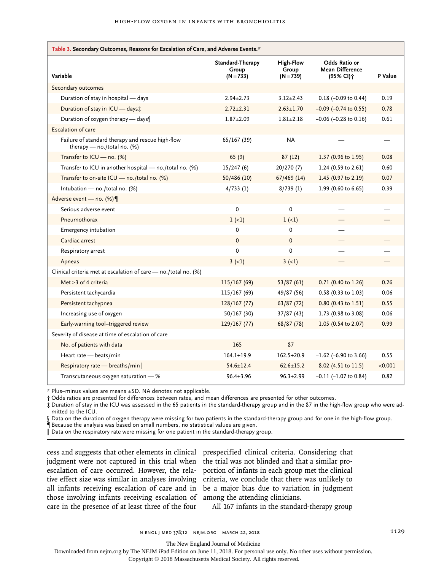| Table 3. Secondary Outcomes, Reasons for Escalation of Care, and Adverse Events.* |                                          |                                          |                                                       |         |  |  |
|-----------------------------------------------------------------------------------|------------------------------------------|------------------------------------------|-------------------------------------------------------|---------|--|--|
| Variable                                                                          | Standard-Therapy<br>Group<br>$(N = 733)$ | <b>High-Flow</b><br>Group<br>$(N = 739)$ | Odds Ratio or<br><b>Mean Difference</b><br>(95% CI) † | P Value |  |  |
| Secondary outcomes                                                                |                                          |                                          |                                                       |         |  |  |
| Duration of stay in hospital - days                                               | $2.94 \pm 2.73$                          | $3.12 \pm 2.43$                          | $0.18$ (-0.09 to 0.44)                                | 0.19    |  |  |
| Duration of stay in ICU - days;                                                   | $2.72 \pm 2.31$                          | $2.63 \pm 1.70$                          | $-0.09$ ( $-0.74$ to 0.55)                            | 0.78    |  |  |
| Duration of oxygen therapy - days                                                 | $1.87 + 2.09$                            | $1.81 + 2.18$                            | $-0.06$ ( $-0.28$ to 0.16)                            | 0.61    |  |  |
| <b>Escalation of care</b>                                                         |                                          |                                          |                                                       |         |  |  |
| Failure of standard therapy and rescue high-flow<br>therapy - no./total no. (%)   | 65/167 (39)                              | NA                                       |                                                       |         |  |  |
| Transfer to ICU - no. (%)                                                         | 65(9)                                    | 87(12)                                   | 1.37 (0.96 to 1.95)                                   | 0.08    |  |  |
| Transfer to ICU in another hospital - no./total no. (%)                           | 15/247(6)                                | 20/270 (7)                               | 1.24 (0.59 to 2.61)                                   | 0.60    |  |  |
| Transfer to on-site ICU - no./total no. (%)                                       | 50/486(10)                               | 67/469 (14)                              | 1.45 (0.97 to 2.19)                                   | 0.07    |  |  |
| Intubation - no./total no. (%)                                                    | 4/733(1)                                 | 8/739(1)                                 | 1.99 (0.60 to 6.65)                                   | 0.39    |  |  |
| Adverse event - no. (%)                                                           |                                          |                                          |                                                       |         |  |  |
| Serious adverse event                                                             | $\mathbf 0$                              | 0                                        |                                                       |         |  |  |
| Pneumothorax                                                                      | $1 (-1)$                                 | $1 (-1)$                                 |                                                       |         |  |  |
| Emergency intubation                                                              | 0                                        | 0                                        |                                                       |         |  |  |
| Cardiac arrest                                                                    | $\mathbf{0}$                             | $\Omega$                                 |                                                       |         |  |  |
| Respiratory arrest                                                                | 0                                        | 0                                        |                                                       |         |  |  |
| Apneas                                                                            | $3(-1)$                                  | $3(-1)$                                  |                                                       |         |  |  |
| Clinical criteria met at escalation of care - no./total no. (%)                   |                                          |                                          |                                                       |         |  |  |
| Met $\geq$ 3 of 4 criteria                                                        | 115/167(69)                              | 53/87(61)                                | 0.71 (0.40 to 1.26)                                   | 0.26    |  |  |
| Persistent tachycardia                                                            | 115/167 (69)                             | 49/87 (56)                               | 0.58 (0.33 to 1.03)                                   | 0.06    |  |  |
| Persistent tachypnea                                                              | 128/167(77)                              | 63/87(72)                                | 0.80 (0.43 to 1.51)                                   | 0.55    |  |  |
| Increasing use of oxygen                                                          | 50/167 (30)                              | 37/87(43)                                | 1.73 (0.98 to 3.08)                                   | 0.06    |  |  |
| Early-warning tool-triggered review                                               | 129/167(77)                              | 68/87 (78)                               | 1.05 (0.54 to 2.07)                                   | 0.99    |  |  |
| Severity of disease at time of escalation of care                                 |                                          |                                          |                                                       |         |  |  |
| No. of patients with data                                                         | 165                                      | 87                                       |                                                       |         |  |  |
| Heart rate - beats/min                                                            | $164.1 \pm 19.9$                         | $162.5 \pm 20.9$                         | $-1.62$ (-6.90 to 3.66)                               | 0.55    |  |  |
| Respiratory rate - breaths/min                                                    | $54.6 \pm 12.4$                          | $62.6 \pm 15.2$                          | 8.02 (4.51 to 11.5)                                   | < 0.001 |  |  |
| Transcutaneous oxygen saturation $-$ %                                            | $96.4 + 3.96$                            | $96.3 + 2.99$                            | $-0.11$ ( $-1.07$ to 0.84)                            | 0.82    |  |  |

\* Plus–minus values are means ±SD. NA denotes not applicable.

† Odds ratios are presented for differences between rates, and mean differences are presented for other outcomes.

‡ Duration of stay in the ICU was assessed in the 65 patients in the standard-therapy group and in the 87 in the high-flow group who were admitted to the ICU.

Data on the duration of oxygen therapy were missing for two patients in the standard-therapy group and for one in the high-flow group.

¶ Because the analysis was based on small numbers, no statistical values are given.

 $\|$  Data on the respiratory rate were missing for one patient in the standard-therapy group.

judgment were not captured in this trial when the trial was not blinded and that a similar proescalation of care occurred. However, the rela-portion of infants in each group met the clinical tive effect size was similar in analyses involving criteria, we conclude that there was unlikely to all infants receiving escalation of care and in be a major bias due to variation in judgment those involving infants receiving escalation of among the attending clinicians. care in the presence of at least three of the four

cess and suggests that other elements in clinical prespecified clinical criteria. Considering that

All 167 infants in the standard-therapy group

The New England Journal of Medicine

Downloaded from nejm.org by The NEJM iPad Edition on June 11, 2018. For personal use only. No other uses without permission.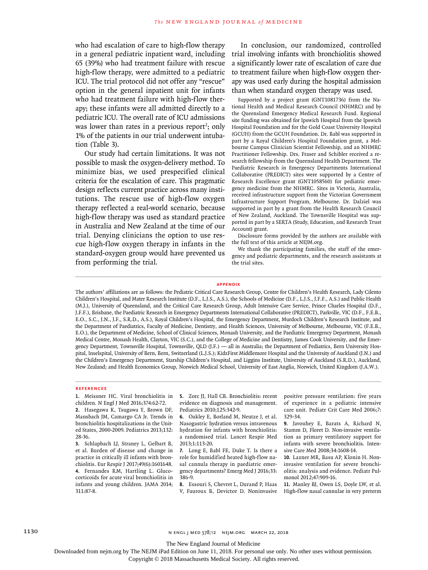who had escalation of care to high-flow therapy in a general pediatric inpatient ward, including 65 (39%) who had treatment failure with rescue high-flow therapy, were admitted to a pediatric ICU. The trial protocol did not offer any "rescue" option in the general inpatient unit for infants who had treatment failure with high-flow therapy; these infants were all admitted directly to a pediatric ICU. The overall rate of ICU admissions was lower than rates in a previous report<sup>2</sup>; only 1% of the patients in our trial underwent intubation (Table 3).

Our study had certain limitations. It was not possible to mask the oxygen-delivery method. To minimize bias, we used prespecified clinical criteria for the escalation of care. This pragmatic design reflects current practice across many institutions. The rescue use of high-flow oxygen therapy reflected a real-world scenario, because high-flow therapy was used as standard practice in Australia and New Zealand at the time of our trial. Denying clinicians the option to use rescue high-flow oxygen therapy in infants in the standard-oxygen group would have prevented us from performing the trial.

In conclusion, our randomized, controlled trial involving infants with bronchiolitis showed a significantly lower rate of escalation of care due to treatment failure when high-flow oxygen therapy was used early during the hospital admission than when standard oxygen therapy was used.

Supported by a project grant (GNT1081736) from the National Health and Medical Research Council (NHMRC) and by the Queensland Emergency Medical Research Fund. Regional site funding was obtained for Ipswich Hospital from the Ipswich Hospital Foundation and for the Gold Coast University Hospital (GCUH) from the GCUH Foundation. Dr. Babl was supported in part by a Royal Children's Hospital Foundation grant, a Melbourne Campus Clinician Scientist Fellowship, and an NHMRC Practitioner Fellowship. Drs. Fraser and Schibler received a research fellowship from the Queensland Health Department. The Paediatric Research in Emergency Departments International Collaborative (PREDICT) sites were supported by a Centre of Research Excellence grant (GNT1058560) for pediatric emergency medicine from the NHMRC. Sites in Victoria, Australia, received infrastructure support from the Victorian Government Infrastructure Support Program, Melbourne. Dr. Dalziel was supported in part by a grant from the Health Research Council of New Zealand, Auckland. The Townsville Hospital was supported in part by a SERTA (Study, Education, and Research Trust Account) grant.

Disclosure forms provided by the authors are available with the full text of this article at NEJM.org.

We thank the participating families, the staff of the emergency and pediatric departments, and the research assistants at the trial sites.

#### **Appendix**

The authors' affiliations are as follows: the Pediatric Critical Care Research Group, Centre for Children's Health Research, Lady Cilento Children's Hospital, and Mater Research Institute (D.F., L.J.S., A.S.), the Schools of Medicine (D.F., L.J.S., J.F.F., A.S.) and Public Health (M.J.), University of Queensland, and the Critical Care Research Group, Adult Intensive Care Service, Prince Charles Hospital (D.F., J.F.F.), Brisbane, the Paediatric Research in Emergency Departments International Collaborative (PREDICT), Parkville, VIC (D.F., F.E.B., E.O., S.C., J.N., J.F., S.R.D., A.S.), Royal Children's Hospital, the Emergency Department, Murdoch Children's Research Institute, and the Department of Paediatrics, Faculty of Medicine, Dentistry, and Health Sciences, University of Melbourne, Melbourne, VIC (F.E.B., E.O.), the Department of Medicine, School of Clinical Sciences, Monash University, and the Paediatric Emergency Department, Monash Medical Centre, Monash Health, Clayton, VIC (S.C.), and the College of Medicine and Dentistry, James Cook University, and the Emergency Department, Townsville Hospital, Townsville, QLD (J.F.) — all in Australia; the Department of Pediatrics, Bern University Hospital, Inselspital, University of Bern, Bern, Switzerland (L.J.S.); KidzFirst Middlemore Hospital and the University of Auckland (J.N.) and the Children's Emergency Department, Starship Children's Hospital, and Liggins Institute, University of Auckland (S.R.D.), Auckland, New Zealand; and Health Economics Group, Norwich Medical School, University of East Anglia, Norwich, United Kingdom (J.A.W.).

#### **References**

**1.** Meissner HC. Viral bronchiolitis in children. N Engl J Med 2016;374:62-72. **2.** Hasegawa K, Tsugawa Y, Brown DF, Mansbach JM, Camargo CA Jr. Trends in bronchiolitis hospitalizations in the United States, 2000-2009. Pediatrics 2013;132: 28-36.

**3.** Schlapbach LJ, Straney L, Gelbart B, et al. Burden of disease and change in practice in critically ill infants with bronchiolitis. Eur Respir J 2017;49(6):1601648. **4.** Fernandes RM, Hartling L. Glucocorticoids for acute viral bronchiolitis in infants and young children. JAMA 2014; 311:87-8.

**5.** Zorc JJ, Hall CB. Bronchiolitis: recent evidence on diagnosis and management. Pediatrics 2010;125:342-9.

**6.** Oakley E, Borland M, Neutze J, et al. Nasogastric hydration versus intravenous hydration for infants with bronchiolitis: a randomised trial. Lancet Respir Med 2013;1:113-20.

**7.** Long E, Babl FE, Duke T. Is there a role for humidified heated high-flow nasal cannula therapy in paediatric emergency departments? Emerg Med J 2016;33: 386-9.

**8.** Essouri S, Chevret L, Durand P, Haas V, Fauroux B, Devictor D. Noninvasive positive pressure ventilation: five years of experience in a pediatric intensive care unit. Pediatr Crit Care Med 2006;7: 329-34.

**9.** Javouhey E, Barats A, Richard N, Stamm D, Floret D. Non-invasive ventilation as primary ventilatory support for infants with severe bronchiolitis. Intensive Care Med 2008;34:1608-14.

**10.** Lazner MR, Basu AP, Klonin H. Noninvasive ventilation for severe bronchiolitis: analysis and evidence. Pediatr Pulmonol 2012;47:909-16.

**11.** Manley BJ, Owen LS, Doyle LW, et al. High-flow nasal cannulae in very preterm

The New England Journal of Medicine

Downloaded from nejm.org by The NEJM iPad Edition on June 11, 2018. For personal use only. No other uses without permission.